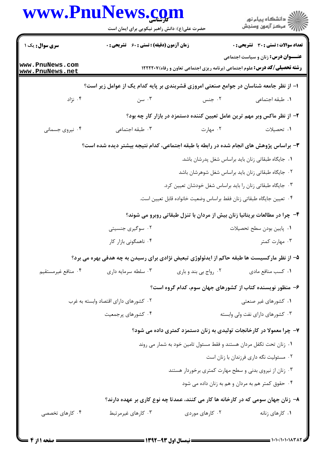|                                    | www.PnuNews.com<br>حضرت علی(ع): دانش راهبر نیکویی برای ایمان است                            |                                                                                  | ِ دانشڪاه پيا <sub>م</sub> نور<br>/∕ مرڪز آزمون وسنڊش                                                                           |
|------------------------------------|---------------------------------------------------------------------------------------------|----------------------------------------------------------------------------------|---------------------------------------------------------------------------------------------------------------------------------|
| سری سوال: یک ۱                     | <b>زمان آزمون (دقیقه) : تستی : 60 ٪ تشریحی : 0</b>                                          |                                                                                  | <b>تعداد سوالات : تستي : 30 ٪ تشريحي : 0</b>                                                                                    |
| www.PnuNews.com<br>www.PnuNews.net |                                                                                             |                                                                                  | <b>عنـــوان درس:</b> زنان و سیاست اجتماعی<br><b>رشته تحصیلی/کد درس:</b> علوم اجتماعی (برنامه ریزی اجتماعی تعاون و رفاه) ۱۲۲۲۲۰۷ |
|                                    | ا– از نظر جامعه شناسان در جوامع صنعتی امروزی قشربندی بر پایه کدام یک از عوامل زیر است؟      |                                                                                  |                                                                                                                                 |
| ۰۴ نژاد                            | ۰۳ سن                                                                                       | ۰۲ جنس                                                                           | ٠١. طبقه اجتماعي                                                                                                                |
|                                    |                                                                                             | ۲- از نظر ماکس وبر مهم ترین عامل تعیین کننده دستمزد در بازار کار چه بود؟         |                                                                                                                                 |
| ۰۴ نیروی جسمانی                    | ۰۳ طبقه اجتماعی                                                                             | ۰۲ مهارت                                                                         | ۰۱ تحصیلات                                                                                                                      |
|                                    | ۳- براساس پژوهش های انجام شده در رابطه با طبقه اجتماعی، کدام نتیجه بیشتر دیده شده است؟      |                                                                                  |                                                                                                                                 |
|                                    |                                                                                             |                                                                                  | ۰۱ جایگاه طبقاتی زنان باید براساس شغل پدرشان باشد.                                                                              |
|                                    | ۰۲ جایگاه طبقاتی زنان باید براساس شغل شوهرشان باشد                                          |                                                                                  |                                                                                                                                 |
|                                    | ۰۳ جایگاه طبقاتی زنان را باید براساس شغل خودشان تعیین کرد.                                  |                                                                                  |                                                                                                                                 |
|                                    |                                                                                             | ۰۴ تعيين جايگاه طبقاتي زنان فقط براساس وضعيت خانواده قابل تعيين است.             |                                                                                                                                 |
|                                    |                                                                                             | ۴- چرا در مطالعات بریتانیا زنان بیش از مردان با تنزل طبقاتی روبرو می شوند؟       |                                                                                                                                 |
|                                    | ۰۲ سوگیری جنسیتی                                                                            |                                                                                  | ٠١. پايين بودن سطح تحصيلات                                                                                                      |
|                                    | ۰۴ ناهمگونی بازار کار                                                                       |                                                                                  | ۰۳ مهارت کمتر                                                                                                                   |
|                                    | ۵– از نظر مارکسیست ها طبقه حاکم از ایدئولوژی تبعیض نژادی برای رسیدن به چه هدفی بهره می برد؟ |                                                                                  |                                                                                                                                 |
| ۰۴ منافع غيرمستقيم                 | ۰۳ سلطه سرمايه داري                                                                         | ۰۲ رواج بي بند و باري                                                            | ٠١ كسب منافع مادى                                                                                                               |
|                                    |                                                                                             | ۶– منظور نویسنده کتاب از کشورهای جهان سوم، کدام گروه است؟                        |                                                                                                                                 |
|                                    | ۰۲ کشورهای دارای اقتصاد وابسته به غرب                                                       |                                                                                  | ۰۱ کشورهای غیر صنعتی                                                                                                            |
|                                    | ۰۴ کشورهای پرجمعیت                                                                          |                                                                                  | ۰۳ کشورهای دارای نفت ولی وابسته                                                                                                 |
|                                    |                                                                                             | ۷- چرا معمولا در کارخانجات تولیدی به زنان دستمزد کمتری داده می شود؟              |                                                                                                                                 |
|                                    |                                                                                             | ۰۱ زنان تحت تکفل مردان هستند و فقط مسئول تامین خود به شمار می روند               |                                                                                                                                 |
|                                    |                                                                                             |                                                                                  | ۰۲ مسئولیت نگه داری فرزندان با زنان است                                                                                         |
|                                    |                                                                                             | ۰۳ زنان از نیروی بدنی و سطح مهارت کمتری برخوردار هستند                           |                                                                                                                                 |
|                                    |                                                                                             |                                                                                  | ۰۴ حقوق کمتر هم به مردان و هم به زنان داده می شود                                                                               |
|                                    |                                                                                             | ۸– زنان جهان سومی که در کارخانه ها کار می کنند، عمدتا چه نوع کاری بر عهده دارند؟ |                                                                                                                                 |
| ۰۴ کارهای تخصصی                    | ۰۳ کارهای غیرمرتبط                                                                          | ۰۲ کارهای موردی                                                                  | ۰۱ کارهای زنانه                                                                                                                 |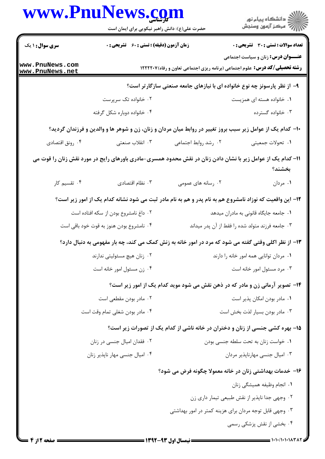| www.PnuNews.com                    | حضرت علی(ع): دانش راهبر نیکویی برای ایمان است                                                               |                                                                           | ڪ دانشڪاه پيام نور<br>پ <sup>ر</sup> مرڪز آزمون وسنڊش                                                                          |
|------------------------------------|-------------------------------------------------------------------------------------------------------------|---------------------------------------------------------------------------|--------------------------------------------------------------------------------------------------------------------------------|
| <b>سری سوال : ۱ یک</b>             | زمان آزمون (دقیقه) : تستی : ۶۰٪ تشریحی : ۰                                                                  |                                                                           | <b>تعداد سوالات : تستی : 30 ٪ تشریحی : 0</b>                                                                                   |
| www.PnuNews.com<br>www.PnuNews.net |                                                                                                             |                                                                           | <b>عنـــوان درس:</b> زنان و سیاست اجتماعی<br><b>رشته تحصیلی/کد درس:</b> علوم اجتماعی (برنامه ریزی اجتماعی تعاون و رفاه)۱۲۲۲۲۰۷ |
|                                    |                                                                                                             | ۹- از نظر پارسونز چه نوع خانواده ای با نیازهای جامعه صنعتی سازگار تر است؟ |                                                                                                                                |
|                                    | ۰۲ خانواده تک سرپرست                                                                                        |                                                                           | ۰۱ خانواده هسته ای همزیست                                                                                                      |
|                                    | ۰۴ خانواده دوباره شکل گرفته                                                                                 |                                                                           | ۰۳ خانواده گسترده                                                                                                              |
|                                    | ∙۱− کدام یک از عوامل زیر سبب بروز تغییر در روابط میان مردان و زنان، زن و شوهر ها و والدین و فرزندان گردید؟  |                                                                           |                                                                                                                                |
| ۰۴ رونق اقتصادي                    | ۰۳ انقلاب صنعتبي                                                                                            | ۰۲ رشد روابط اجتماعی                                                      | ١. تحولات جمعيتي                                                                                                               |
|                                    | 11– کدام یک از عوامل زیر با نشان دادن زنان در نقش محدود همسری-مادری باورهای رایج در مورد نقش زنان را قوت می |                                                                           | بخشند؟                                                                                                                         |
| ۰۴ تقسیم کار                       | ۰۳ نظام اقتصادی                                                                                             | ۰۲ رسانه های عمومی                                                        | ۰۱ مردان                                                                                                                       |
|                                    | ۱۲– این واقعیت که نوزاد نامشروع هم به نام پدر و هم به نام مادر ثبت می شود نشانه کدام یک از امور زیر است؟    |                                                                           |                                                                                                                                |
|                                    | ۰۲ داغ نامشروع بودن از سکه افتاده است                                                                       |                                                                           | ۰۱ جامعه جایگاه قانونی به مادران میدهد                                                                                         |
|                                    | ۰۴ نامشروع بودن هنوز به قوت خود باقی است                                                                    |                                                                           | ۰۳ جامعه فرزند متولد شده را فقط از آن پدر میداند                                                                               |
|                                    | ۱۳- از نظر اکلی وقتی گفته می شود که مرد در امور خانه به زنش کمک می کند، چه بار مفهومی به دنبال دارد؟        |                                                                           |                                                                                                                                |
|                                    | ۰۲ زنان هیچ مسئولیتی ندارند                                                                                 |                                                                           | ۰۱ مردان توانایی همه امور خانه را دارند                                                                                        |
|                                    | ۰۴ زن مسئول امور خانه است                                                                                   |                                                                           | ۰۳ مرد مسئول امور خانه است                                                                                                     |
|                                    |                                                                                                             |                                                                           | ۱۴- تصویر آرمانی زن و مادر که در ذهن نقش می شود موید کدام یک از امور زیر است؟                                                  |
|                                    | ۰۲ مادر بودن مقطعی است                                                                                      |                                                                           | ۰۱ مادر بودن امکان پذیر است                                                                                                    |
|                                    | ۰۴ مادر بودن شغلی تمام وقت است                                                                              |                                                                           | ٠٣ مادر بودن بسيار لذت بخش است                                                                                                 |
|                                    |                                                                                                             |                                                                           | ۱۵- بهره کشی جنسی از زنان و دختران در خانه ناشی از کدام یک از تصورات زیر است؟                                                  |
|                                    | ۰۲ فقدان امیال جنسی در زنان                                                                                 |                                                                           | ٠١ خواست زنان به تحت سلطه جنسي بودن                                                                                            |
|                                    | ۰۴ امیال جنسی مهار ناپذیر زنان                                                                              |                                                                           | ۰۳ امیال جنسی مهارناپذیر مردان                                                                                                 |
|                                    |                                                                                                             |                                                                           | ۱۶– خدمات بهداشتی زنان در خانه معمولا چگونه فرض می شود؟                                                                        |
|                                    |                                                                                                             |                                                                           | ٠١. انجام وظيفه هميشگي زنان                                                                                                    |
|                                    |                                                                                                             |                                                                           | ۰۲ وجهي جدا ناپذير از نقش طبيعي تيمار داري زن                                                                                  |
|                                    |                                                                                                             |                                                                           | ۰۳ وجهی قابل توجه مردان برای هزینه کمتر در امور بهداشتی                                                                        |
|                                    |                                                                                                             |                                                                           | ۰۴ بخشی از نقش پزشکی رسمی                                                                                                      |

1.1.1.1.1.178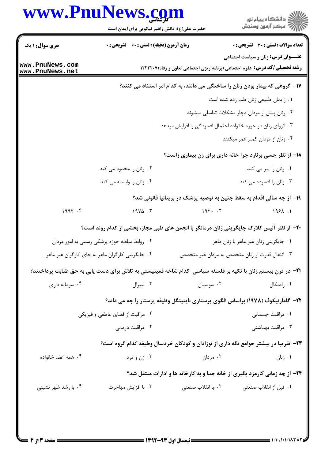|                                             | حضرت علی(ع): دانش راهبر نیکویی برای ایمان است                                                                       |                                                               | ڪ دانشڪاه پيام نور<br>/7 مرڪز آزمون وسنڊش                                                                                      |
|---------------------------------------------|---------------------------------------------------------------------------------------------------------------------|---------------------------------------------------------------|--------------------------------------------------------------------------------------------------------------------------------|
| <b>سری سوال : ۱ یک</b>                      | <b>زمان آزمون (دقیقه) : تستی : 60 ٪ تشریحی : 0</b>                                                                  |                                                               | <b>تعداد سوالات : تستی : 30 ٪ تشریحی : 0</b>                                                                                   |
| www.PnuNews.com<br>www.PnuNews.net          |                                                                                                                     |                                                               | <b>عنـــوان درس:</b> زنان و سیاست اجتماعی<br><b>رشته تحصیلی/کد درس:</b> علوم اجتماعی (برنامه ریزی اجتماعی تعاون و رفاه)1۲۲۲۲۰۷ |
|                                             |                                                                                                                     |                                                               | ۱۷- گروهی که بیمار بودن زنان را ساختگی می دانند، به کدام امر استناد می کنند؟                                                   |
|                                             |                                                                                                                     |                                                               | ٠١ زايمان طبيعي زنان طب زده شده است                                                                                            |
|                                             |                                                                                                                     |                                                               | ۰۲ زنان پیش از مردان دچار مشکلات تناسلی میشوند                                                                                 |
|                                             |                                                                                                                     | ۰۳ انزوای زنان در حوزه خانواده احتمال افسردگی را افزایش میدهد |                                                                                                                                |
|                                             |                                                                                                                     |                                                               | ۰۴ زنان از مردان کمتر عمر میکنند                                                                                               |
|                                             |                                                                                                                     |                                                               | 18- از نظر جسی برنارد چرا خانه داری برای زن بیماری زاست؟                                                                       |
|                                             | ۰۲ زنان را محدود می کند                                                                                             |                                                               | ۰۱ زنان را پیر می کند                                                                                                          |
|                                             | ۰۴ زنان را وابسته می کند                                                                                            |                                                               | ۰۳ زنان را افسرده می کند                                                                                                       |
|                                             |                                                                                                                     |                                                               | ۱۹– از چه سالی اقدام به سقط جنین به توصیه پزشک در بریتانیا قانونی شد؟                                                          |
| 1997.9                                      | $19Y\Delta$ .                                                                                                       | 197.7                                                         | 1981.1                                                                                                                         |
|                                             | +۲- از نظر آلیس کلارک جایگزینی زنان درمانگر با انجمن های طبی مجاز، بخشی از کدام روند است؟                           |                                                               |                                                                                                                                |
| ۰۲ روابط سلطه حوزه پزشکی رسمی به امور مردان |                                                                                                                     | ۰۱ جایگزینی زنان غیر ماهر با زنان ماهر                        |                                                                                                                                |
|                                             | ۰۴ جایگزینی کارگران ماهر به جای کارگران غیر ماهر                                                                    |                                                               | ۰۳ انتقال قدرت از زنان متخصص به مردان غیر متخصص                                                                                |
|                                             | <b>۱۲</b> − در قرن بیستم زنان با تکیه بر فلسفه سیاسی کدام شاخه فمینیستی به تلاش برای دست یابی به حق طبابت پرداختند؟ |                                                               |                                                                                                                                |
| ۰۴ سرمايه داري                              | ۰۳ ليبرال                                                                                                           | ۰۲ سوسیال                                                     | ۰۱ رادیکال                                                                                                                     |
|                                             |                                                                                                                     |                                                               | ۲۲- گامارنیکوف (۱۹۷۸) براساس الگوی پرستاری نایتینگل وظیفه پرستار را چه می داند؟                                                |
| ۰۲ مراقبت از فضای عاطفی و فیزیکی            |                                                                                                                     |                                                               | ٠١ مراقبت جسماني                                                                                                               |
|                                             | ۰۴ مراقبت درمانی                                                                                                    |                                                               | ۰۳ مراقبت بهداشتی                                                                                                              |
|                                             |                                                                                                                     |                                                               | ۲۳- تقریبا در بیشتر جوامع نگه داری از نوزادان و کودکان خردسال وظیفه کدام گروه است؟                                             |
| ۰۴ همه اعضا خانواده                         | ۰۳ زن و مرد                                                                                                         | ۰۲ مردان                                                      | ۰۱ زنان                                                                                                                        |
|                                             |                                                                                                                     |                                                               | <b>۲۴</b> - از چه زمانی کارمزد بگیری از خانه جدا و به کارخانه ها و ادارات منتقل شد؟                                            |
| ۰۴ با رشد شهر نشینی                         | ۰۳ با افزايش مهاجرت                                                                                                 | ۰۲ با انقلاب صنعتی                                            | ۰۱ قبل از انقلاب صنعتی                                                                                                         |